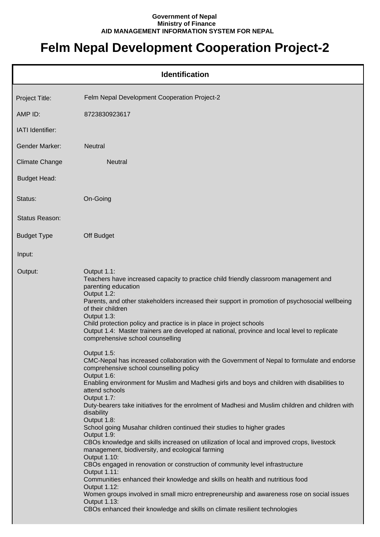## **Government of Nepal Ministry of Finance AID MANAGEMENT INFORMATION SYSTEM FOR NEPAL**

## **Felm Nepal Development Cooperation Project-2**

| <b>Identification</b>   |                                                                                                                                                                                                                                                                                                                                                                                                                                                                                                                                                                                                                                                                                                                                                                                                                                                                                                                                                                                                                                                                                                                                                                                                                                                                                                                                                                                                                                                                                                                                                                                                   |  |
|-------------------------|---------------------------------------------------------------------------------------------------------------------------------------------------------------------------------------------------------------------------------------------------------------------------------------------------------------------------------------------------------------------------------------------------------------------------------------------------------------------------------------------------------------------------------------------------------------------------------------------------------------------------------------------------------------------------------------------------------------------------------------------------------------------------------------------------------------------------------------------------------------------------------------------------------------------------------------------------------------------------------------------------------------------------------------------------------------------------------------------------------------------------------------------------------------------------------------------------------------------------------------------------------------------------------------------------------------------------------------------------------------------------------------------------------------------------------------------------------------------------------------------------------------------------------------------------------------------------------------------------|--|
| Project Title:          | Felm Nepal Development Cooperation Project-2                                                                                                                                                                                                                                                                                                                                                                                                                                                                                                                                                                                                                                                                                                                                                                                                                                                                                                                                                                                                                                                                                                                                                                                                                                                                                                                                                                                                                                                                                                                                                      |  |
| AMP ID:                 | 8723830923617                                                                                                                                                                                                                                                                                                                                                                                                                                                                                                                                                                                                                                                                                                                                                                                                                                                                                                                                                                                                                                                                                                                                                                                                                                                                                                                                                                                                                                                                                                                                                                                     |  |
| <b>IATI</b> Identifier: |                                                                                                                                                                                                                                                                                                                                                                                                                                                                                                                                                                                                                                                                                                                                                                                                                                                                                                                                                                                                                                                                                                                                                                                                                                                                                                                                                                                                                                                                                                                                                                                                   |  |
| <b>Gender Marker:</b>   | <b>Neutral</b>                                                                                                                                                                                                                                                                                                                                                                                                                                                                                                                                                                                                                                                                                                                                                                                                                                                                                                                                                                                                                                                                                                                                                                                                                                                                                                                                                                                                                                                                                                                                                                                    |  |
| <b>Climate Change</b>   | <b>Neutral</b>                                                                                                                                                                                                                                                                                                                                                                                                                                                                                                                                                                                                                                                                                                                                                                                                                                                                                                                                                                                                                                                                                                                                                                                                                                                                                                                                                                                                                                                                                                                                                                                    |  |
| <b>Budget Head:</b>     |                                                                                                                                                                                                                                                                                                                                                                                                                                                                                                                                                                                                                                                                                                                                                                                                                                                                                                                                                                                                                                                                                                                                                                                                                                                                                                                                                                                                                                                                                                                                                                                                   |  |
| Status:                 | On-Going                                                                                                                                                                                                                                                                                                                                                                                                                                                                                                                                                                                                                                                                                                                                                                                                                                                                                                                                                                                                                                                                                                                                                                                                                                                                                                                                                                                                                                                                                                                                                                                          |  |
| Status Reason:          |                                                                                                                                                                                                                                                                                                                                                                                                                                                                                                                                                                                                                                                                                                                                                                                                                                                                                                                                                                                                                                                                                                                                                                                                                                                                                                                                                                                                                                                                                                                                                                                                   |  |
| <b>Budget Type</b>      | Off Budget                                                                                                                                                                                                                                                                                                                                                                                                                                                                                                                                                                                                                                                                                                                                                                                                                                                                                                                                                                                                                                                                                                                                                                                                                                                                                                                                                                                                                                                                                                                                                                                        |  |
| Input:                  |                                                                                                                                                                                                                                                                                                                                                                                                                                                                                                                                                                                                                                                                                                                                                                                                                                                                                                                                                                                                                                                                                                                                                                                                                                                                                                                                                                                                                                                                                                                                                                                                   |  |
| Output:                 | Output 1.1:<br>Teachers have increased capacity to practice child friendly classroom management and<br>parenting education<br>Output 1.2:<br>Parents, and other stakeholders increased their support in promotion of psychosocial wellbeing<br>of their children<br>Output 1.3:<br>Child protection policy and practice is in place in project schools<br>Output 1.4: Master trainers are developed at national, province and local level to replicate<br>comprehensive school counselling<br>Output 1.5:<br>CMC-Nepal has increased collaboration with the Government of Nepal to formulate and endorse<br>comprehensive school counselling policy<br>Output 1.6:<br>Enabling environment for Muslim and Madhesi girls and boys and children with disabilities to<br>attend schools<br>Output 1.7:<br>Duty-bearers take initiatives for the enrolment of Madhesi and Muslim children and children with<br>disability<br>Output 1.8:<br>School going Musahar children continued their studies to higher grades<br>Output 1.9:<br>CBOs knowledge and skills increased on utilization of local and improved crops, livestock<br>management, biodiversity, and ecological farming<br>Output 1.10:<br>CBOs engaged in renovation or construction of community level infrastructure<br>Output 1.11:<br>Communities enhanced their knowledge and skills on health and nutritious food<br>Output 1.12:<br>Women groups involved in small micro entrepreneurship and awareness rose on social issues<br><b>Output 1.13:</b><br>CBOs enhanced their knowledge and skills on climate resilient technologies |  |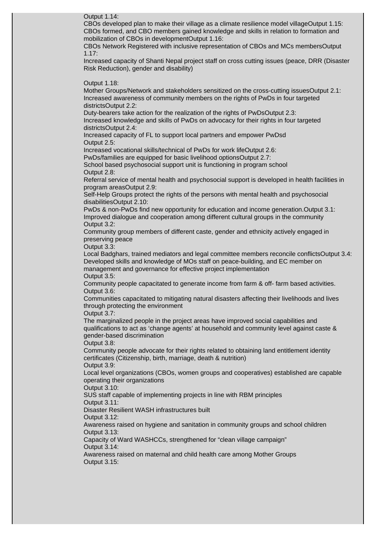Output 1.14:

CBOs developed plan to make their village as a climate resilience model villageOutput 1.15: CBOs formed, and CBO members gained knowledge and skills in relation to formation and mobilization of CBOs in developmentOutput 1.16:

CBOs Network Registered with inclusive representation of CBOs and MCs membersOutput 1.17:

Increased capacity of Shanti Nepal project staff on cross cutting issues (peace, DRR (Disaster Risk Reduction), gender and disability)

Output 1.18:

Mother Groups/Network and stakeholders sensitized on the cross-cutting issuesOutput 2.1: Increased awareness of community members on the rights of PwDs in four targeted districtsOutput 2.2:

Duty-bearers take action for the realization of the rights of PwDsOutput 2.3: Increased knowledge and skills of PwDs on advocacy for their rights in four targeted districtsOutput 2.4:

Increased capacity of FL to support local partners and empower PwDsd Output 2.5:

Increased vocational skills/technical of PwDs for work lifeOutput 2.6:

PwDs/families are equipped for basic livelihood optionsOutput 2.7:

School based psychosocial support unit is functioning in program school Output 2.8:

Referral service of mental health and psychosocial support is developed in health facilities in program areasOutput 2.9:

Self-Help Groups protect the rights of the persons with mental health and psychosocial disabilitiesOutput 2.10:

PwDs & non-PwDs find new opportunity for education and income generation.Output 3.1: Improved dialogue and cooperation among different cultural groups in the community Output 3.2:

Community group members of different caste, gender and ethnicity actively engaged in preserving peace

Output 3.3:

Local Badghars, trained mediators and legal committee members reconcile conflictsOutput 3.4: Developed skills and knowledge of MOs staff on peace-building, and EC member on management and governance for effective project implementation Output 3.5:

Community people capacitated to generate income from farm & off- farm based activities. Output 3.6:

Communities capacitated to mitigating natural disasters affecting their livelihoods and lives through protecting the environment

Output 3.7:

The marginalized people in the project areas have improved social capabilities and qualifications to act as 'change agents' at household and community level against caste & gender-based discrimination

Output 3.8:

Community people advocate for their rights related to obtaining land entitlement identity certificates (Citizenship, birth, marriage, death & nutrition)

Output 3.9:

Local level organizations (CBOs, women groups and cooperatives) established are capable operating their organizations

Output 3.10:

SUS staff capable of implementing projects in line with RBM principles

Output 3.11:

Disaster Resilient WASH infrastructures built

Output 3.12:

Awareness raised on hygiene and sanitation in community groups and school children Output 3.13:

Capacity of Ward WASHCCs, strengthened for "clean village campaign" Output 3.14:

Awareness raised on maternal and child health care among Mother Groups Output 3.15: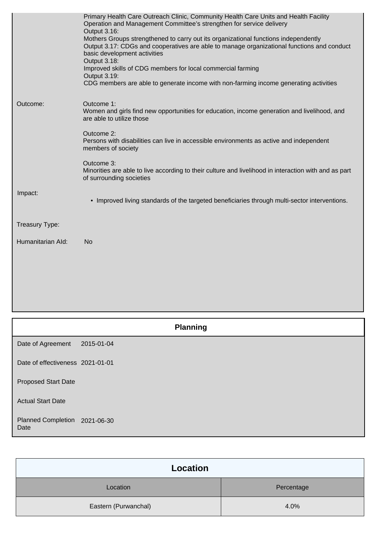| Primary Health Care Outreach Clinic, Community Health Care Units and Health Facility<br>Operation and Management Committee's strengthen for service delivery<br>Output 3.16:                                                      |
|-----------------------------------------------------------------------------------------------------------------------------------------------------------------------------------------------------------------------------------|
| Mothers Groups strengthened to carry out its organizational functions independently<br>Output 3.17: CDGs and cooperatives are able to manage organizational functions and conduct<br>basic development activities<br>Output 3.18: |
| Improved skills of CDG members for local commercial farming<br>Output 3.19:                                                                                                                                                       |
| CDG members are able to generate income with non-farming income generating activities                                                                                                                                             |
| Outcome 1:<br>Women and girls find new opportunities for education, income generation and livelihood, and<br>are able to utilize those                                                                                            |
| Outcome 2:<br>Persons with disabilities can live in accessible environments as active and independent<br>members of society                                                                                                       |
| Outcome 3:<br>Minorities are able to live according to their culture and livelihood in interaction with and as part<br>of surrounding societies                                                                                   |
| • Improved living standards of the targeted beneficiaries through multi-sector interventions.                                                                                                                                     |
|                                                                                                                                                                                                                                   |
| <b>No</b>                                                                                                                                                                                                                         |
|                                                                                                                                                                                                                                   |
|                                                                                                                                                                                                                                   |
|                                                                                                                                                                                                                                   |

|                                       | <b>Planning</b> |  |
|---------------------------------------|-----------------|--|
| Date of Agreement                     | 2015-01-04      |  |
| Date of effectiveness 2021-01-01      |                 |  |
| <b>Proposed Start Date</b>            |                 |  |
| <b>Actual Start Date</b>              |                 |  |
| Planned Completion 2021-06-30<br>Date |                 |  |

| Location             |            |
|----------------------|------------|
| Location             | Percentage |
| Eastern (Purwanchal) | 4.0%       |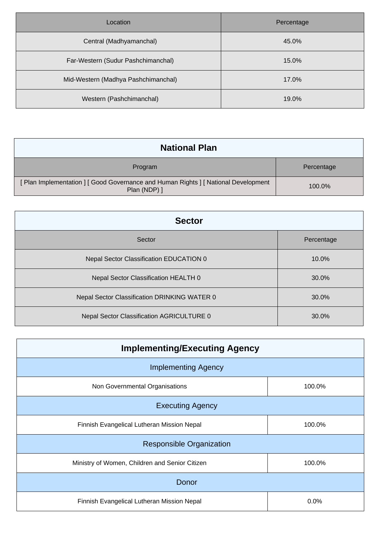| Location                            | Percentage |
|-------------------------------------|------------|
| Central (Madhyamanchal)             | 45.0%      |
| Far-Western (Sudur Pashchimanchal)  | 15.0%      |
| Mid-Western (Madhya Pashchimanchal) | 17.0%      |
| Western (Pashchimanchal)            | 19.0%      |

| <b>National Plan</b>                                                                           |            |  |
|------------------------------------------------------------------------------------------------|------------|--|
| Program                                                                                        | Percentage |  |
| [Plan Implementation] [Good Governance and Human Rights] [National Development<br>Plan (NDP) ] | 100.0%     |  |

| <b>Sector</b>                                |            |  |
|----------------------------------------------|------------|--|
| Sector                                       | Percentage |  |
| Nepal Sector Classification EDUCATION 0      | 10.0%      |  |
| Nepal Sector Classification HEALTH 0         | 30.0%      |  |
| Nepal Sector Classification DRINKING WATER 0 | 30.0%      |  |
| Nepal Sector Classification AGRICULTURE 0    | 30.0%      |  |

| <b>Implementing/Executing Agency</b>           |        |  |
|------------------------------------------------|--------|--|
| <b>Implementing Agency</b>                     |        |  |
| Non Governmental Organisations                 | 100.0% |  |
| <b>Executing Agency</b>                        |        |  |
| Finnish Evangelical Lutheran Mission Nepal     | 100.0% |  |
| <b>Responsible Organization</b>                |        |  |
| Ministry of Women, Children and Senior Citizen | 100.0% |  |
| Donor                                          |        |  |
| Finnish Evangelical Lutheran Mission Nepal     | 0.0%   |  |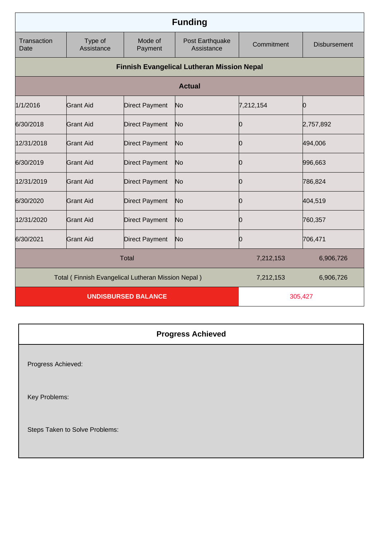|                                                    |                       |                            | <b>Funding</b>                                    |            |                     |
|----------------------------------------------------|-----------------------|----------------------------|---------------------------------------------------|------------|---------------------|
| Transaction<br>Date                                | Type of<br>Assistance | Mode of<br>Payment         | Post Earthquake<br>Assistance                     | Commitment | <b>Disbursement</b> |
|                                                    |                       |                            | <b>Finnish Evangelical Lutheran Mission Nepal</b> |            |                     |
|                                                    |                       |                            | <b>Actual</b>                                     |            |                     |
| 1/1/2016                                           | <b>Grant Aid</b>      | <b>Direct Payment</b>      | No                                                | 7,212,154  | 10                  |
| 6/30/2018                                          | Grant Aid             | <b>Direct Payment</b>      | No                                                | Ю          | 2,757,892           |
| 12/31/2018                                         | <b>Grant Aid</b>      | <b>Direct Payment</b>      | No                                                | 0          | 494,006             |
| 6/30/2019                                          | Grant Aid             | <b>Direct Payment</b>      | No                                                | Ю          | 996,663             |
| 12/31/2019                                         | Grant Aid             | <b>Direct Payment</b>      | No                                                | Ю          | 786,824             |
| 6/30/2020                                          | <b>Grant Aid</b>      | <b>Direct Payment</b>      | No                                                | 0          | 404,519             |
| 12/31/2020                                         | <b>Grant Aid</b>      | <b>Direct Payment</b>      | No                                                | 0          | 760,357             |
| 6/30/2021                                          | <b>Grant Aid</b>      | <b>Direct Payment</b>      | No                                                | 10         | 706,471             |
| <b>Total</b>                                       |                       | 7,212,153                  | 6,906,726                                         |            |                     |
| Total (Finnish Evangelical Lutheran Mission Nepal) |                       | 7,212,153                  | 6,906,726                                         |            |                     |
|                                                    |                       | <b>UNDISBURSED BALANCE</b> |                                                   |            | 305,427             |

|                                | <b>Progress Achieved</b> |
|--------------------------------|--------------------------|
| Progress Achieved:             |                          |
| Key Problems:                  |                          |
| Steps Taken to Solve Problems: |                          |